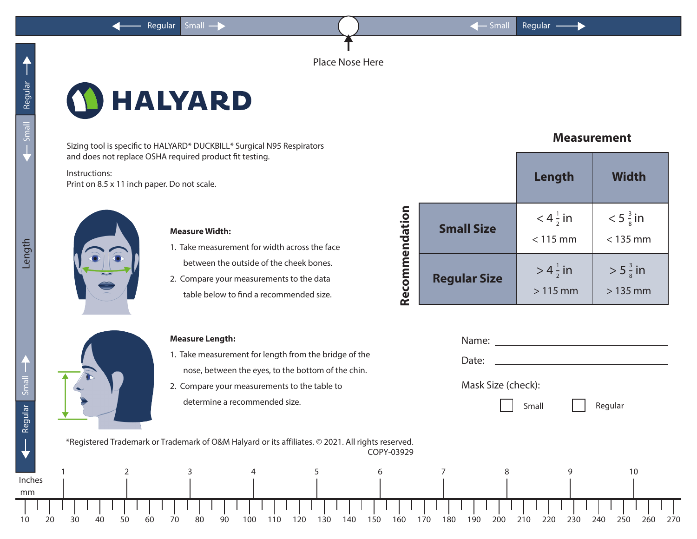Place Nose Here

## **HALYARD**

Sizing tool is specific to HALYARD\* DUCKBILL\* Surgical N95 Respirators and does not replace OSHA required product fit testing.

Instructions: Print on 8.5 x 11 inch paper. Do not scale.



## **Measure Width:**

- 1. Take measurement for width across the face between the outside of the cheek bones.
- 2. Compare your measurements to the data table below to find a recommended size.

## **Measure Length:**

- 1. Take measurement for length from the bridge of the nose, between the eyes, to the bottom of the chin.
- 2. Compare your measurements to the table to determine a recommended size.

|                |                     | Length                            | <b>Width</b>                      |  |
|----------------|---------------------|-----------------------------------|-----------------------------------|--|
| Recommendation | <b>Small Size</b>   | $< 4\frac{1}{2}$ in<br>$< 115$ mm | $< 5\frac{3}{8}$ in<br>$<$ 135 mm |  |
|                | <b>Regular Size</b> | $> 4\frac{1}{2}$ in<br>$>115$ mm  | $> 5\frac{3}{8}$ in<br>$>135$ mm  |  |

**Measurement**

|             |                                                                                                   | <b>Measure Length:</b>                       |                                                       |            |                   |            | Name:              |            |                          |  |
|-------------|---------------------------------------------------------------------------------------------------|----------------------------------------------|-------------------------------------------------------|------------|-------------------|------------|--------------------|------------|--------------------------|--|
|             |                                                                                                   |                                              | 1. Take measurement for length from the bridge of the |            |                   |            | Date:              |            |                          |  |
|             |                                                                                                   |                                              | nose, between the eyes, to the bottom of the chin.    |            |                   |            |                    |            |                          |  |
| Smal        |                                                                                                   | 2. Compare your measurements to the table to |                                                       |            |                   |            | Mask Size (check): |            |                          |  |
| Regular     |                                                                                                   |                                              | determine a recommended size.                         |            |                   |            | Small              |            | Regular                  |  |
|             | *Registered Trademark or Trademark of O&M Halyard or its affiliates. © 2021. All rights reserved. |                                              |                                                       |            | COPY-03929        |            |                    |            |                          |  |
|             |                                                                                                   |                                              |                                                       |            | 6                 |            |                    |            | 10                       |  |
| nches<br>mm |                                                                                                   |                                              |                                                       |            |                   |            |                    |            |                          |  |
| 10          | 50<br>40<br>60                                                                                    | 70<br>80                                     | 90<br>100<br>110                                      | 120<br>130 | 150<br>160<br>140 | 180<br>170 | 210<br>200<br>190  | 230<br>220 | 270<br>240<br>250<br>260 |  |

Length

Inches

mm